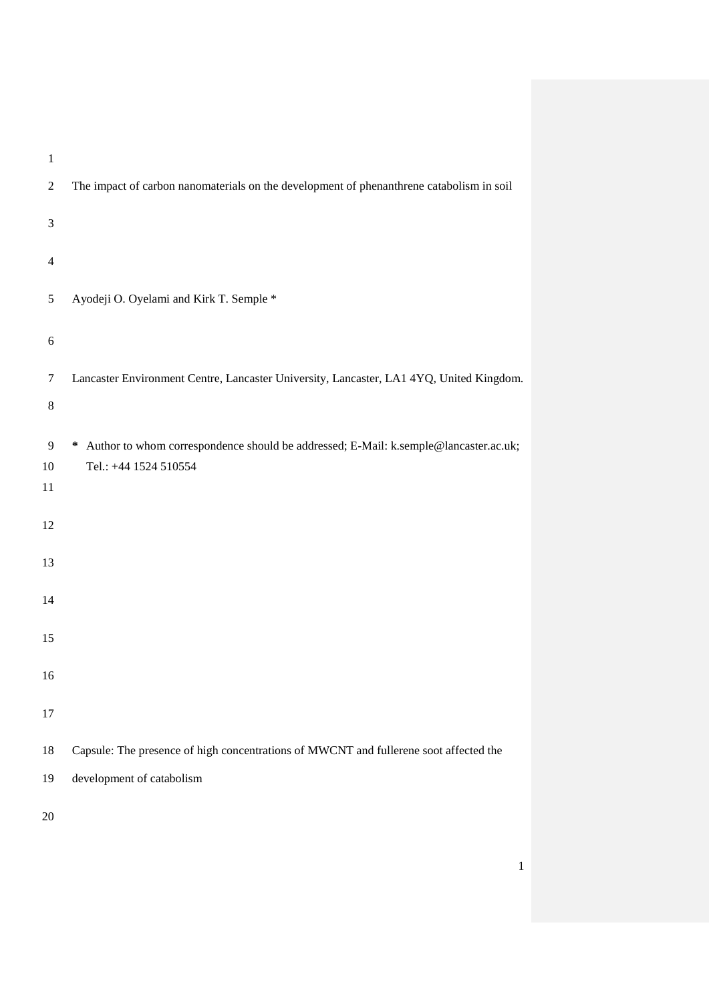| $\mathbf{1}$     |                                                                                                                    |
|------------------|--------------------------------------------------------------------------------------------------------------------|
| $\boldsymbol{2}$ | The impact of carbon nanomaterials on the development of phenanthrene catabolism in soil                           |
| 3                |                                                                                                                    |
| $\overline{4}$   |                                                                                                                    |
| 5                | Ayodeji O. Oyelami and Kirk T. Semple *                                                                            |
| $\sqrt{6}$       |                                                                                                                    |
| $\tau$<br>$8\,$  | Lancaster Environment Centre, Lancaster University, Lancaster, LA1 4YQ, United Kingdom.                            |
| 9<br>10<br>11    | Author to whom correspondence should be addressed; E-Mail: k.semple@lancaster.ac.uk;<br>∗<br>Tel.: +44 1524 510554 |
| 12               |                                                                                                                    |
| 13               |                                                                                                                    |
| 14               |                                                                                                                    |
| 15               |                                                                                                                    |
| 16               |                                                                                                                    |
| 17               |                                                                                                                    |
| 18               | Capsule: The presence of high concentrations of MWCNT and fullerene soot affected the                              |
| 19               | development of catabolism                                                                                          |
| 20               |                                                                                                                    |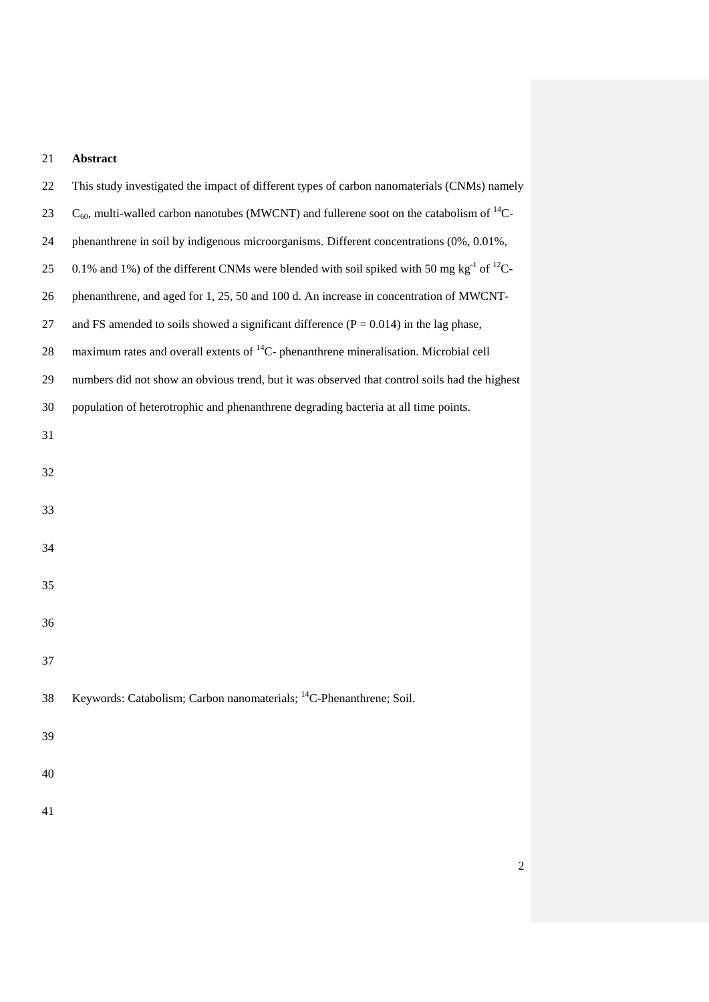## **Abstract**

| 22 | This study investigated the impact of different types of carbon nanomaterials (CNMs) namely               |
|----|-----------------------------------------------------------------------------------------------------------|
| 23 | $C_{60}$ , multi-walled carbon nanotubes (MWCNT) and fullerene soot on the catabolism of <sup>14</sup> C- |
| 24 | phenanthrene in soil by indigenous microorganisms. Different concentrations (0%, 0.01%,                   |
| 25 | 0.1% and 1%) of the different CNMs were blended with soil spiked with 50 mg $kg^{-1}$ of <sup>12</sup> C- |
| 26 | phenanthrene, and aged for 1, 25, 50 and 100 d. An increase in concentration of MWCNT-                    |
| 27 | and FS amended to soils showed a significant difference ( $P = 0.014$ ) in the lag phase,                 |
| 28 | maximum rates and overall extents of ${}^{14}C$ -phenanthrene mineralisation. Microbial cell              |
| 29 | numbers did not show an obvious trend, but it was observed that control soils had the highest             |
| 30 | population of heterotrophic and phenanthrene degrading bacteria at all time points.                       |
| 31 |                                                                                                           |
| 32 |                                                                                                           |
| 33 |                                                                                                           |
| 34 |                                                                                                           |
| 35 |                                                                                                           |
| 36 |                                                                                                           |
| 37 |                                                                                                           |
| 38 | Keywords: Catabolism; Carbon nanomaterials; <sup>14</sup> C-Phenanthrene; Soil.                           |
| 39 |                                                                                                           |
| 40 |                                                                                                           |
| 41 |                                                                                                           |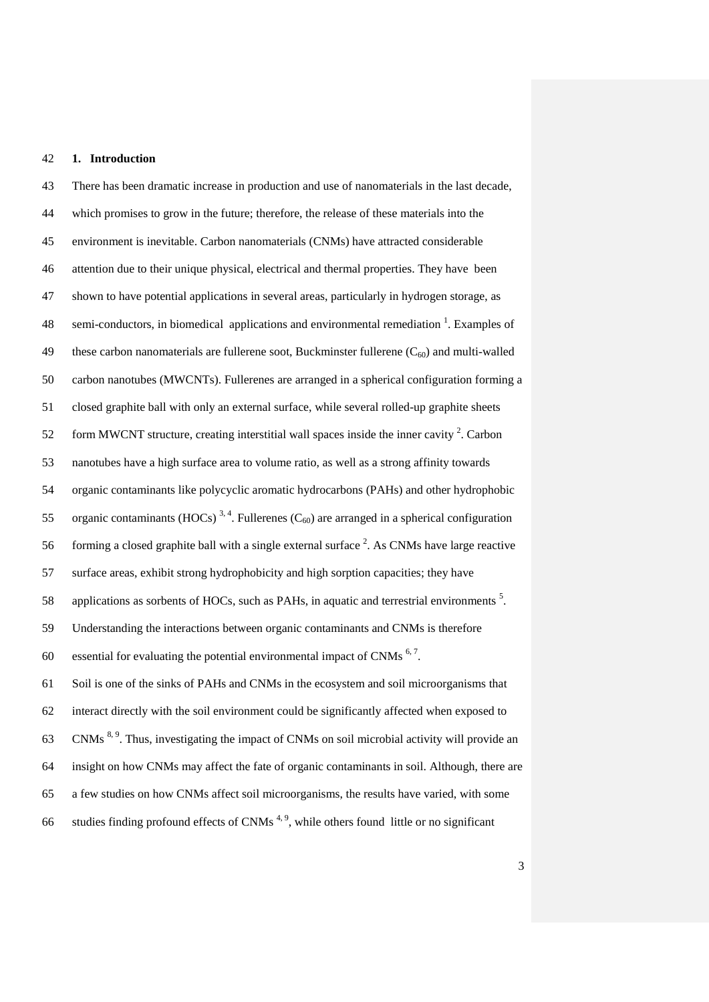### **1. Introduction**

 There has been dramatic increase in production and use of nanomaterials in the last decade, which promises to grow in the future; therefore, the release of these materials into the environment is inevitable. Carbon nanomaterials (CNMs) have attracted considerable attention due to their unique physical, electrical and thermal properties. They have been shown to have potential applications in several areas, particularly in hydrogen storage, as 48 semi-conductors, in biomedical applications and environmental remediation  $\frac{1}{2}$  $\frac{1}{2}$  $\frac{1}{2}$ . Examples of 49 these carbon nanomaterials are fullerene soot, Buckminster fullerene  $(C_{60})$  and multi-walled carbon nanotubes (MWCNTs). Fullerenes are arranged in a spherical configuration forming a closed graphite ball with only an external surface, while several rolled-up graphite sheets  $f_{\text{1}}$  form MWCNT structure, creating interstitial wall spaces inside the inner cavity  $\text{2}$ . Carbon nanotubes have a high surface area to volume ratio, as well as a strong affinity towards organic contaminants like polycyclic aromatic hydrocarbons (PAHs) and other hydrophobic 55 organic contaminants (HOCs)<sup>[3,](#page-13-2) [4](#page-13-3)</sup>. Fullerenes (C<sub>60</sub>) are arranged in a spherical configuration 56 forming a closed graphite ball with a single external surface . As CNMs have large reactive surface areas, exhibit strong hydrophobicity and high sorption capacities; they have 8 applications as sorbents of HOCs, such as PAHs, in aquatic and terrestrial environments<sup>5</sup>. Understanding the interactions between organic contaminants and CNMs is therefore 60 essential for evaluating the potential environmental impact of CNMs  $<sup>6,7</sup>$ .</sup> Soil is one of the sinks of PAHs and CNMs in the ecosystem and soil microorganisms that interact directly with the soil environment could be significantly affected when exposed to 63 CNMs  $8,9$  $8,9$ . Thus, investigating the impact of CNMs on soil microbial activity will provide an insight on how CNMs may affect the fate of organic contaminants in soil. Although, there are a few studies on how CNMs affect soil microorganisms, the results have varied, with some 66 studies finding profound effects of CNMs<sup> $4, 9$  $4, 9$ </sup>, while others found little or no significant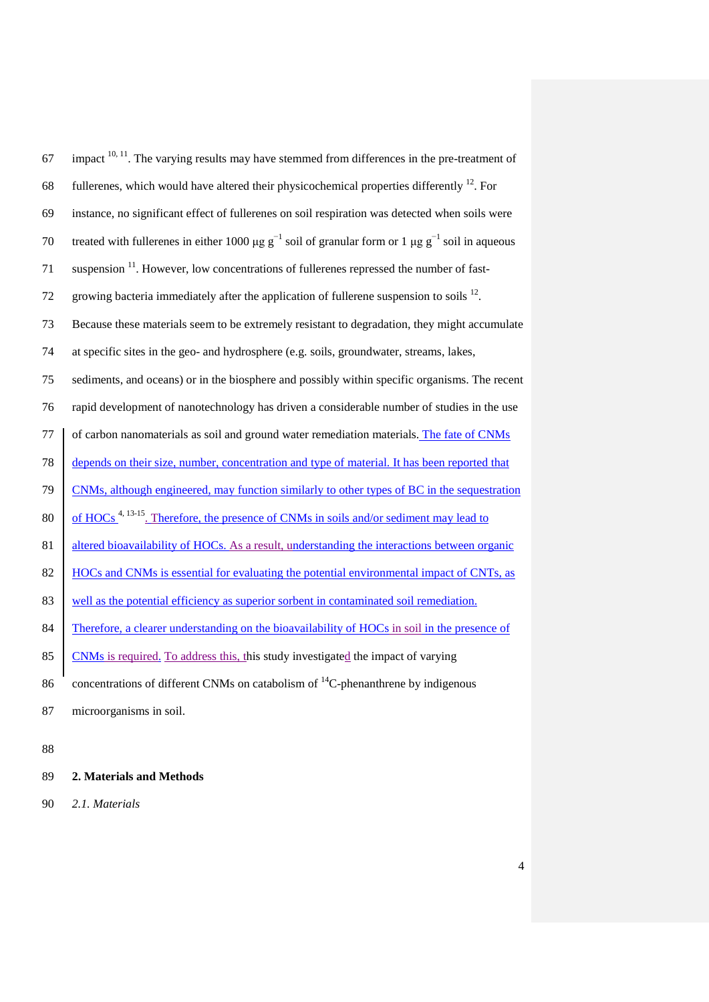| 67     | impact $10, 11$ . The varying results may have stemmed from differences in the pre-treatment of           |
|--------|-----------------------------------------------------------------------------------------------------------|
| 68     | fullerenes, which would have altered their physicochemical properties differently <sup>12</sup> . For     |
| 69     | instance, no significant effect of fullerenes on soil respiration was detected when soils were            |
| $70\,$ | treated with fullerenes in either 1000 µg $g^{-1}$ soil of granular form or 1 µg $g^{-1}$ soil in aqueous |
| 71     | suspension <sup>11</sup> . However, low concentrations of fullerenes repressed the number of fast-        |
| 72     | growing bacteria immediately after the application of fullerene suspension to soils <sup>12</sup> .       |
| 73     | Because these materials seem to be extremely resistant to degradation, they might accumulate              |
| 74     | at specific sites in the geo- and hydrosphere (e.g. soils, groundwater, streams, lakes,                   |
| 75     | sediments, and oceans) or in the biosphere and possibly within specific organisms. The recent             |
| 76     | rapid development of nanotechnology has driven a considerable number of studies in the use                |
| $77\,$ | of carbon nanomaterials as soil and ground water remediation materials. The fate of CNMs                  |
| 78     | depends on their size, number, concentration and type of material. It has been reported that              |
| 79     | CNMs, although engineered, may function similarly to other types of BC in the sequestration               |
| 80     | of HOCs <sup>4, 13-15</sup> . Therefore, the presence of CNMs in soils and/or sediment may lead to        |
| 81     | altered bioavailability of HOCs. As a result, understanding the interactions between organic              |
| 82     | HOCs and CNMs is essential for evaluating the potential environmental impact of CNTs, as                  |
| 83     | well as the potential efficiency as superior sorbent in contaminated soil remediation.                    |
| 84     | Therefore, a clearer understanding on the bioavailability of HOCs in soil in the presence of              |
| 85     | CNMs is required. To address this, this study investigated the impact of varying                          |
| 86     | concentrations of different CNMs on catabolism of $^{14}$ C-phenanthrene by indigenous                    |
| 87     | microorganisms in soil.                                                                                   |
|        |                                                                                                           |

# **2. Materials and Methods**

*2.1. Materials*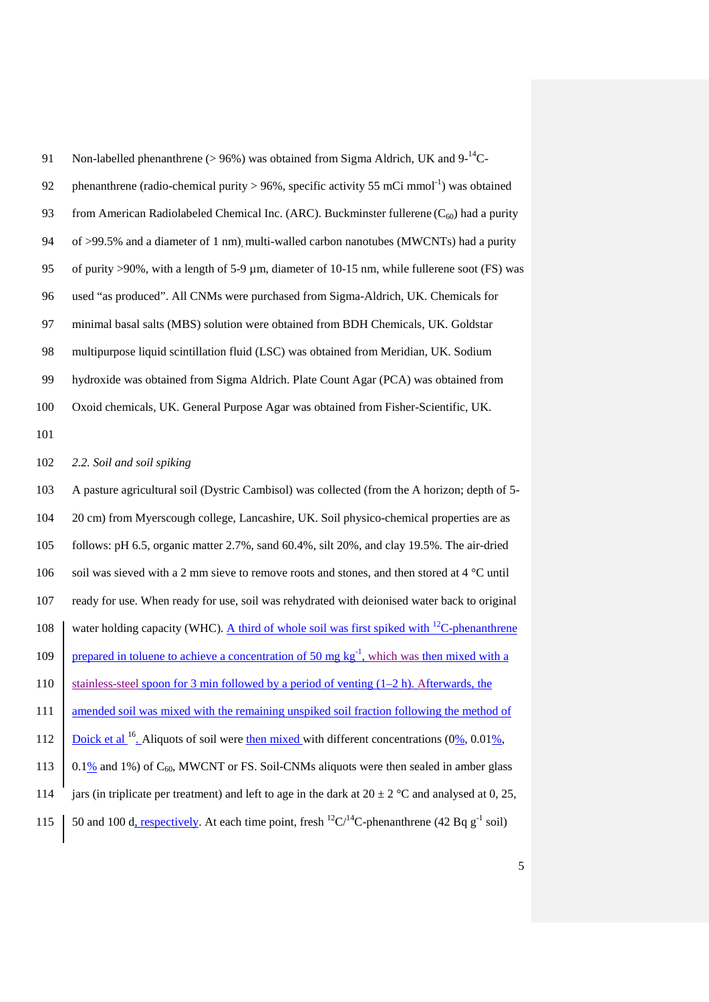| 91  | Non-labelled phenanthrene ( $> 96\%$ ) was obtained from Sigma Aldrich, UK and $9^{-14}C$ -                               |
|-----|---------------------------------------------------------------------------------------------------------------------------|
| 92  | phenanthrene (radio-chemical purity $> 96\%$ , specific activity 55 mCi mmol <sup>-1</sup> ) was obtained                 |
| 93  | from American Radiolabeled Chemical Inc. (ARC). Buckminster fullerene ( $C_{60}$ ) had a purity                           |
| 94  | of >99.5% and a diameter of 1 nm) multi-walled carbon nanotubes (MWCNTs) had a purity                                     |
| 95  | of purity >90%, with a length of $5-9 \mu m$ , diameter of 10-15 nm, while fullerene soot (FS) was                        |
| 96  | used "as produced". All CNMs were purchased from Sigma-Aldrich, UK. Chemicals for                                         |
| 97  | minimal basal salts (MBS) solution were obtained from BDH Chemicals, UK. Goldstar                                         |
| 98  | multipurpose liquid scintillation fluid (LSC) was obtained from Meridian, UK. Sodium                                      |
| 99  | hydroxide was obtained from Sigma Aldrich. Plate Count Agar (PCA) was obtained from                                       |
| 100 | Oxoid chemicals, UK. General Purpose Agar was obtained from Fisher-Scientific, UK.                                        |
| 101 |                                                                                                                           |
| 102 | 2.2. Soil and soil spiking                                                                                                |
| 103 | A pasture agricultural soil (Dystric Cambisol) was collected (from the A horizon; depth of 5-                             |
| 104 | 20 cm) from Myerscough college, Lancashire, UK. Soil physico-chemical properties are as                                   |
| 105 | follows: pH 6.5, organic matter 2.7%, sand 60.4%, silt 20%, and clay 19.5%. The air-dried                                 |
| 106 | soil was sieved with a 2 mm sieve to remove roots and stones, and then stored at 4 °C until                               |
| 107 | ready for use. When ready for use, soil was rehydrated with deionised water back to original                              |
| 108 | water holding capacity (WHC). A third of whole soil was first spiked with <sup>12</sup> C-phenanthrene                    |
| 109 | prepared in toluene to achieve a concentration of 50 mg $kg^{-1}$ , which was then mixed with a                           |
| 110 | stainless-steel spoon for 3 min followed by a period of venting $(1-2 h)$ . Afterwards, the                               |
| 111 | amended soil was mixed with the remaining unspiked soil fraction following the method of                                  |
| 112 | Doick et al <sup>16</sup> . Aliquots of soil were then mixed with different concentrations $(0\%, 0.01\%,$                |
| 113 | $0.1\%$ and 1%) of C <sub>60</sub> , MWCNT or FS. Soil-CNMs aliquots were then sealed in amber glass                      |
| 114 | jars (in triplicate per treatment) and left to age in the dark at $20 \pm 2$ °C and analysed at 0, 25,                    |
| 115 | 50 and 100 d, respectively. At each time point, fresh <sup>12</sup> C/ <sup>14</sup> C-phenanthrene (42 Bq $g^{-1}$ soil) |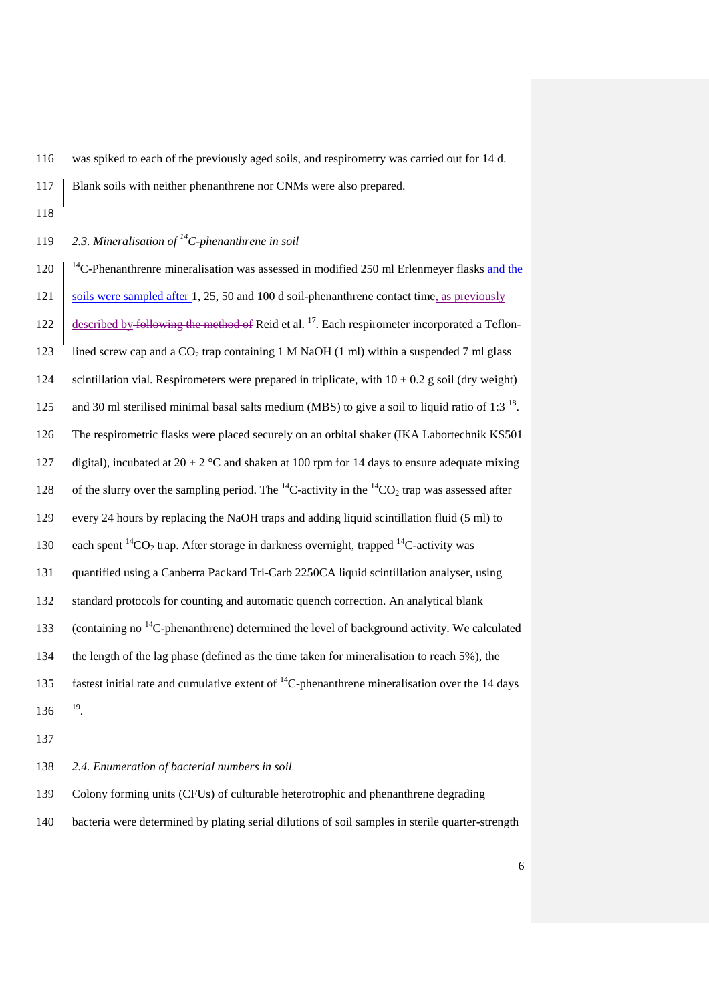116 was spiked to each of the previously aged soils, and respirometry was carried out for 14 d. 117 Blank soils with neither phenanthrene nor CNMs were also prepared.

118

119  $2.3$ . Mineralisation of <sup>14</sup>C-phenanthrene in soil

120  $\vert$  <sup>14</sup> C-Phenanthrenre mineralisation was assessed in modified 250 ml Erlenmeyer flasks and the 121 soils were sampled after 1, 25, 50 and 100 d soil-phenanthrene contact time, as previously 122  $\parallel$  described by following the method of Reid et al. <sup>17</sup>. Each respirometer incorporated a Teflon-123 lined screw cap and a  $CO<sub>2</sub>$  trap containing 1 M NaOH (1 ml) within a suspended 7 ml glass 124 scintillation vial. Respirometers were prepared in triplicate, with  $10 \pm 0.2$  g soil (dry weight) 125 and 30 ml sterilised minimal basal salts medium (MBS) to give a soil to liquid ratio of 1:3<sup>[18](#page-14-10)</sup>. 126 The respirometric flasks were placed securely on an orbital shaker (IKA Labortechnik KS501 127 digital), incubated at  $20 \pm 2$  °C and shaken at 100 rpm for 14 days to ensure adequate mixing 128 of the slurry over the sampling period. The <sup>14</sup>C-activity in the <sup>14</sup>CO<sub>2</sub> trap was assessed after 129 every 24 hours by replacing the NaOH traps and adding liquid scintillation fluid (5 ml) to 130 each spent  ${}^{14}CO_2$  trap. After storage in darkness overnight, trapped  ${}^{14}C$ -activity was 131 quantified using a Canberra Packard Tri-Carb 2250CA liquid scintillation analyser, using 132 standard protocols for counting and automatic quench correction. An analytical blank 133 (containing no  ${}^{14}C$ -phenanthrene) determined the level of background activity. We calculated 134 the length of the lag phase (defined as the time taken for mineralisation to reach 5%), the 135 fastest initial rate and cumulative extent of  ${}^{14}C$ -phenanthrene mineralisation over the 14 days  $136$   $^{19}$  $^{19}$  $^{19}$ . 137

## 138 *2.4. Enumeration of bacterial numbers in soil*

139 Colony forming units (CFUs) of culturable heterotrophic and phenanthrene degrading

140 bacteria were determined by plating serial dilutions of soil samples in sterile quarter-strength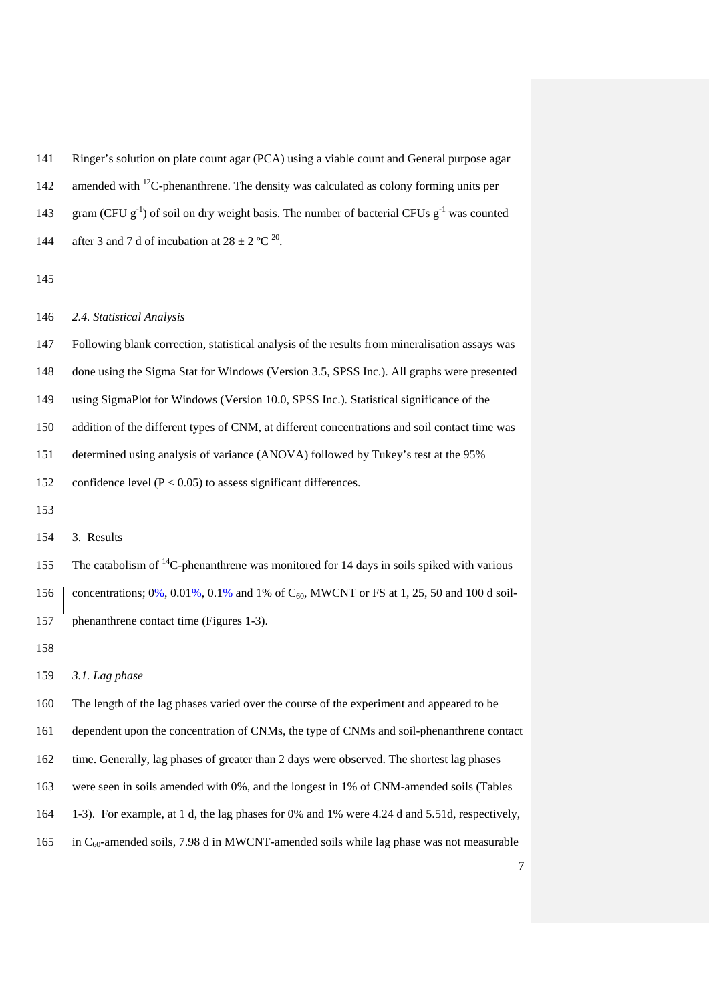| -141 | Ringer's solution on plate count agar (PCA) using a viable count and General purpose agar           |
|------|-----------------------------------------------------------------------------------------------------|
| 142  | amended with $^{12}$ C-phenanthrene. The density was calculated as colony forming units per         |
| 143  | gram (CFU $g^{-1}$ ) of soil on dry weight basis. The number of bacterial CFUs $g^{-1}$ was counted |
| 144  | after 3 and 7 d of incubation at $28 \pm 2$ °C <sup>20</sup> .                                      |

### *2.4. Statistical Analysis*

 Following blank correction, statistical analysis of the results from mineralisation assays was done using the Sigma Stat for Windows (Version 3.5, SPSS Inc.). All graphs were presented using SigmaPlot for Windows (Version 10.0, SPSS Inc.). Statistical significance of the addition of the different types of CNM, at different concentrations and soil contact time was determined using analysis of variance (ANOVA) followed by Tukey's test at the 95% 152 confidence level  $(P < 0.05)$  to assess significant differences. 3. Results 155 The catabolism of  $^{14}$ C-phenanthrene was monitored for 14 days in soils spiked with various 156 concentrations; 0%, 0.01%, 0.1% and 1% of  $C_{60}$ , MWCNT or FS at 1, 25, 50 and 100 d soil-

*3.1. Lag phase*

phenanthrene contact time (Figures 1-3).

 The length of the lag phases varied over the course of the experiment and appeared to be dependent upon the concentration of CNMs, the type of CNMs and soil-phenanthrene contact time. Generally, lag phases of greater than 2 days were observed. The shortest lag phases were seen in soils amended with 0%, and the longest in 1% of CNM-amended soils (Tables 1-3). For example, at 1 d, the lag phases for 0% and 1% were 4.24 d and 5.51d, respectively, 165 in  $C_{60}$ -amended soils, 7.98 d in MWCNT-amended soils while lag phase was not measurable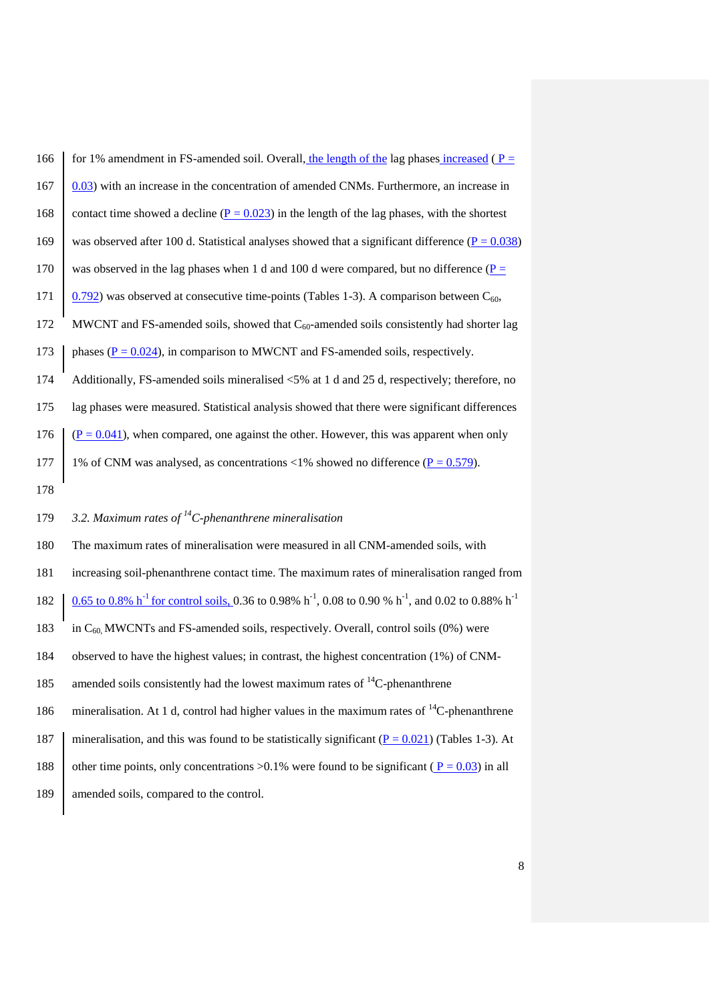| 166        | for 1% amendment in FS-amended soil. Overall, the length of the lag phases increased ( $P=$                                                        |  |
|------------|----------------------------------------------------------------------------------------------------------------------------------------------------|--|
| 167        | $(0.03)$ with an increase in the concentration of amended CNMs. Furthermore, an increase in                                                        |  |
| 168        | contact time showed a decline $(P = 0.023)$ in the length of the lag phases, with the shortest                                                     |  |
| 169        | was observed after 100 d. Statistical analyses showed that a significant difference ( $\underline{P} = 0.038$ )                                    |  |
| 170        | was observed in the lag phases when 1 d and 100 d were compared, but no difference ( $\underline{P}$ =                                             |  |
| 171        | $(0.792)$ was observed at consecutive time-points (Tables 1-3). A comparison between C <sub>60</sub> ,                                             |  |
| 172        | MWCNT and FS-amended soils, showed that $C_{60}$ -amended soils consistently had shorter lag                                                       |  |
| 173        | phases ( $\underline{P} = 0.024$ ), in comparison to MWCNT and FS-amended soils, respectively.                                                     |  |
| 174        | Additionally, FS-amended soils mineralised <5% at 1 d and 25 d, respectively; therefore, no                                                        |  |
| 175        | lag phases were measured. Statistical analysis showed that there were significant differences                                                      |  |
| 176        | $(P = 0.041)$ , when compared, one against the other. However, this was apparent when only                                                         |  |
| 177        | 1% of CNM was analysed, as concentrations <1% showed no difference ( $P = 0.579$ ).                                                                |  |
|            |                                                                                                                                                    |  |
|            |                                                                                                                                                    |  |
| 178<br>179 | 3.2. Maximum rates of ${}^{14}C$ -phenanthrene mineralisation                                                                                      |  |
| 180        | The maximum rates of mineralisation were measured in all CNM-amended soils, with                                                                   |  |
| 181        | increasing soil-phenanthrene contact time. The maximum rates of mineralisation ranged from                                                         |  |
| 182        | 0.65 to 0.8% h <sup>-1</sup> for control soils, 0.36 to 0.98% h <sup>-1</sup> , 0.08 to 0.90 % h <sup>-1</sup> , and 0.02 to 0.88% h <sup>-1</sup> |  |
| 183        | in $C_{60}$ , MWCNTs and FS-amended soils, respectively. Overall, control soils (0%) were                                                          |  |
| 184        | observed to have the highest values; in contrast, the highest concentration (1%) of CNM-                                                           |  |
| 185        | amended soils consistently had the lowest maximum rates of $^{14}$ C-phenanthrene                                                                  |  |
| 186        | mineralisation. At 1 d, control had higher values in the maximum rates of $^{14}$ C-phenanthrene                                                   |  |
| 187        | mineralisation, and this was found to be statistically significant ( $P = 0.021$ ) (Tables 1-3). At                                                |  |
| 188        | other time points, only concentrations >0.1% were found to be significant ( $P = 0.03$ ) in all                                                    |  |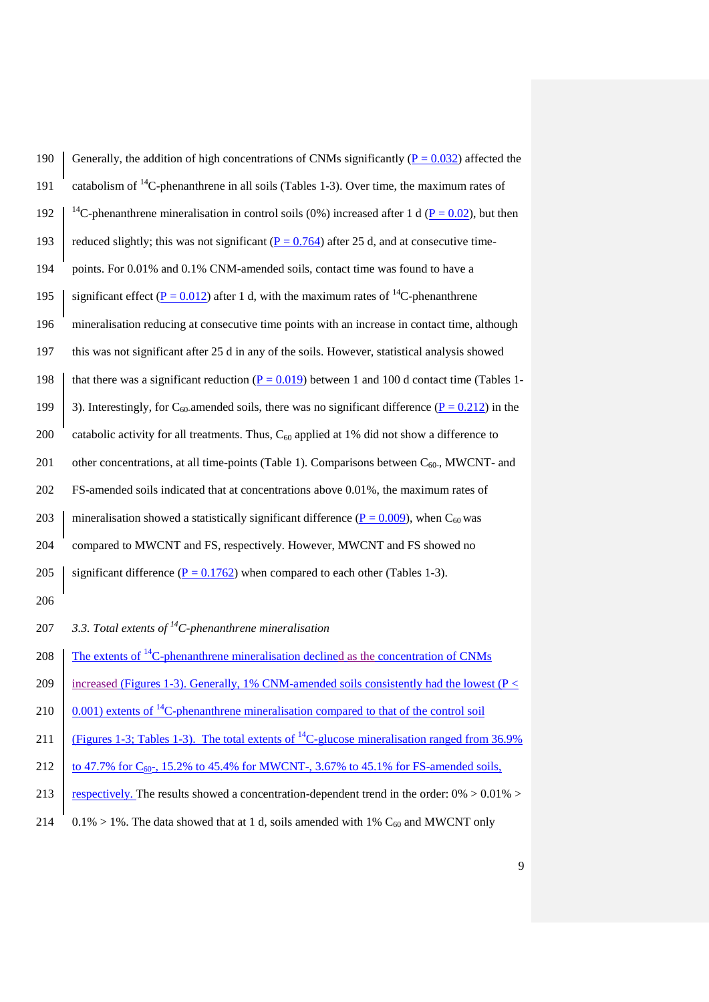| 190 | Generally, the addition of high concentrations of CNMs significantly ( $P = 0.032$ ) affected the                            |  |
|-----|------------------------------------------------------------------------------------------------------------------------------|--|
| 191 | catabolism of ${}^{14}C$ -phenanthrene in all soils (Tables 1-3). Over time, the maximum rates of                            |  |
| 192 | <sup>14</sup> C-phenanthrene mineralisation in control soils (0%) increased after 1 d ( $P = 0.02$ ), but then               |  |
| 193 | reduced slightly; this was not significant ( $\underline{P} = 0.764$ ) after 25 d, and at consecutive time-                  |  |
| 194 | points. For 0.01% and 0.1% CNM-amended soils, contact time was found to have a                                               |  |
| 195 | significant effect ( $\underline{P} = 0.012$ ) after 1 d, with the maximum rates of <sup>14</sup> C-phenanthrene             |  |
| 196 | mineralisation reducing at consecutive time points with an increase in contact time, although                                |  |
| 197 | this was not significant after 25 d in any of the soils. However, statistical analysis showed                                |  |
| 198 | that there was a significant reduction $(P = 0.019)$ between 1 and 100 d contact time (Tables 1-                             |  |
| 199 | 3). Interestingly, for C <sub>60</sub> amended soils, there was no significant difference ( $\underline{P} = 0.212$ ) in the |  |
| 200 | catabolic activity for all treatments. Thus, $C_{60}$ applied at 1% did not show a difference to                             |  |
| 201 | other concentrations, at all time-points (Table 1). Comparisons between $C_{60}$ , MWCNT- and                                |  |
| 202 | FS-amended soils indicated that at concentrations above 0.01%, the maximum rates of                                          |  |
| 203 | mineralisation showed a statistically significant difference ( $\underline{P} = 0.009$ ), when C <sub>60</sub> was           |  |
| 204 | compared to MWCNT and FS, respectively. However, MWCNT and FS showed no                                                      |  |
| 205 | significant difference ( $P = 0.1762$ ) when compared to each other (Tables 1-3).                                            |  |
| 206 |                                                                                                                              |  |
| 207 | 3.3. Total extents of ${}^{14}C$ -phenanthrene mineralisation                                                                |  |
| 208 | The extents of <sup>14</sup> C-phenanthrene mineralisation declined as the concentration of CNMs                             |  |
| 209 | increased (Figures 1-3). Generally, 1% CNM-amended soils consistently had the lowest ( $P <$                                 |  |
| 210 | $(0.001)$ extents of <sup>14</sup> C-phenanthrene mineralisation compared to that of the control soil                        |  |
| 211 | (Figures 1-3; Tables 1-3). The total extents of $^{14}C$ -glucose mineralisation ranged from 36.9%                           |  |
| 212 | to 47.7% for $C_{60}$ , 15.2% to 45.4% for MWCNT-, 3.67% to 45.1% for FS-amended soils,                                      |  |
| 213 | respectively. The results showed a concentration-dependent trend in the order: $0\% > 0.01\% >$                              |  |
| 214 | $0.1\% > 1\%$ . The data showed that at 1 d, soils amended with 1% C <sub>60</sub> and MWCNT only                            |  |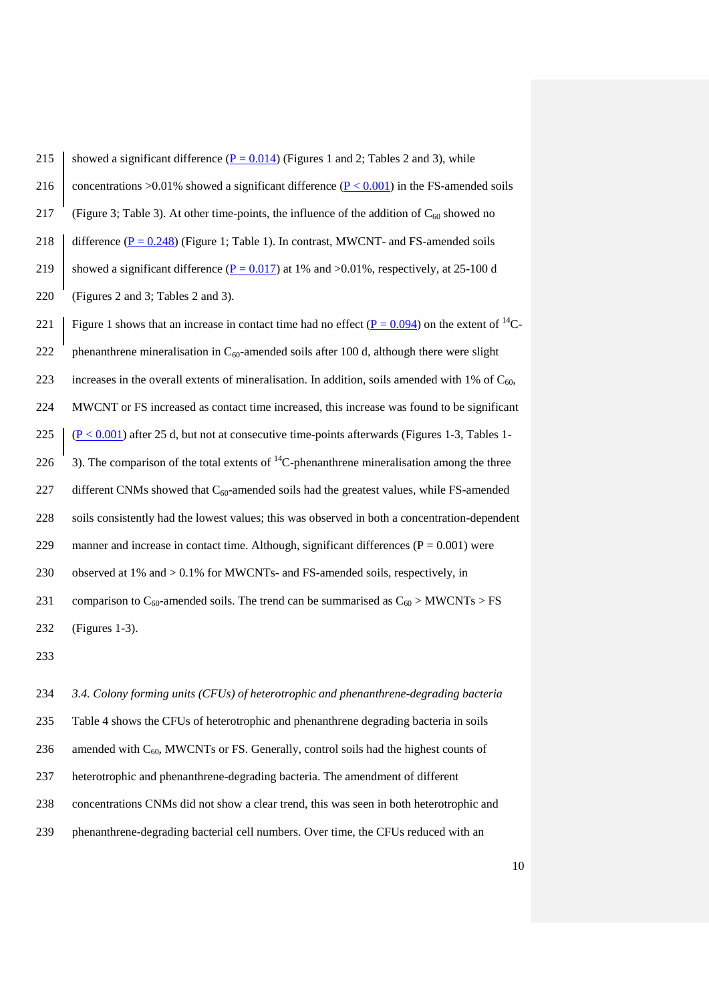| 215 | showed a significant difference ( $P = 0.014$ ) (Figures 1 and 2; Tables 2 and 3), while                                    |  |  |  |
|-----|-----------------------------------------------------------------------------------------------------------------------------|--|--|--|
| 216 | concentrations >0.01% showed a significant difference $(P < 0.001)$ in the FS-amended soils                                 |  |  |  |
| 217 | (Figure 3; Table 3). At other time-points, the influence of the addition of $C_{60}$ showed no                              |  |  |  |
| 218 | difference $(P = 0.248)$ (Figure 1; Table 1). In contrast, MWCNT- and FS-amended soils                                      |  |  |  |
| 219 | showed a significant difference ( $P = 0.017$ ) at 1% and >0.01%, respectively, at 25-100 d                                 |  |  |  |
| 220 | (Figures 2 and 3; Tables 2 and 3).                                                                                          |  |  |  |
| 221 | Figure 1 shows that an increase in contact time had no effect ( $\underline{P} = 0.094$ ) on the extent of <sup>14</sup> C- |  |  |  |
| 222 | phenanthrene mineralisation in $C_{60}$ -amended soils after 100 d, although there were slight                              |  |  |  |
| 223 | increases in the overall extents of mineralisation. In addition, soils amended with $1\%$ of $C_{60}$ ,                     |  |  |  |
| 224 | MWCNT or FS increased as contact time increased, this increase was found to be significant                                  |  |  |  |
| 225 | $(P < 0.001)$ after 25 d, but not at consecutive time-points afterwards (Figures 1-3, Tables 1-                             |  |  |  |
| 226 | 3). The comparison of the total extents of ${}^{14}C$ -phenanthrene mineralisation among the three                          |  |  |  |
| 227 | different CNMs showed that $C_{60}$ -amended soils had the greatest values, while FS-amended                                |  |  |  |
| 228 | soils consistently had the lowest values; this was observed in both a concentration-dependent                               |  |  |  |
| 229 | manner and increase in contact time. Although, significant differences ( $P = 0.001$ ) were                                 |  |  |  |
| 230 | observed at $1\%$ and $> 0.1\%$ for MWCNTs- and FS-amended soils, respectively, in                                          |  |  |  |
| 231 | comparison to C <sub>60</sub> -amended soils. The trend can be summarised as $C_{60}$ > MWCNTs > FS                         |  |  |  |
| 232 | $(Figures 1-3)$ .                                                                                                           |  |  |  |
| 233 |                                                                                                                             |  |  |  |
| 234 | 3.4. Colony forming units (CFUs) of heterotrophic and phenanthrene-degrading bacteria                                       |  |  |  |

 Table 4 shows the CFUs of heterotrophic and phenanthrene degrading bacteria in soils 236 amended with C<sub>60</sub>, MWCNTs or FS. Generally, control soils had the highest counts of heterotrophic and phenanthrene-degrading bacteria. The amendment of different concentrations CNMs did not show a clear trend, this was seen in both heterotrophic and phenanthrene-degrading bacterial cell numbers. Over time, the CFUs reduced with an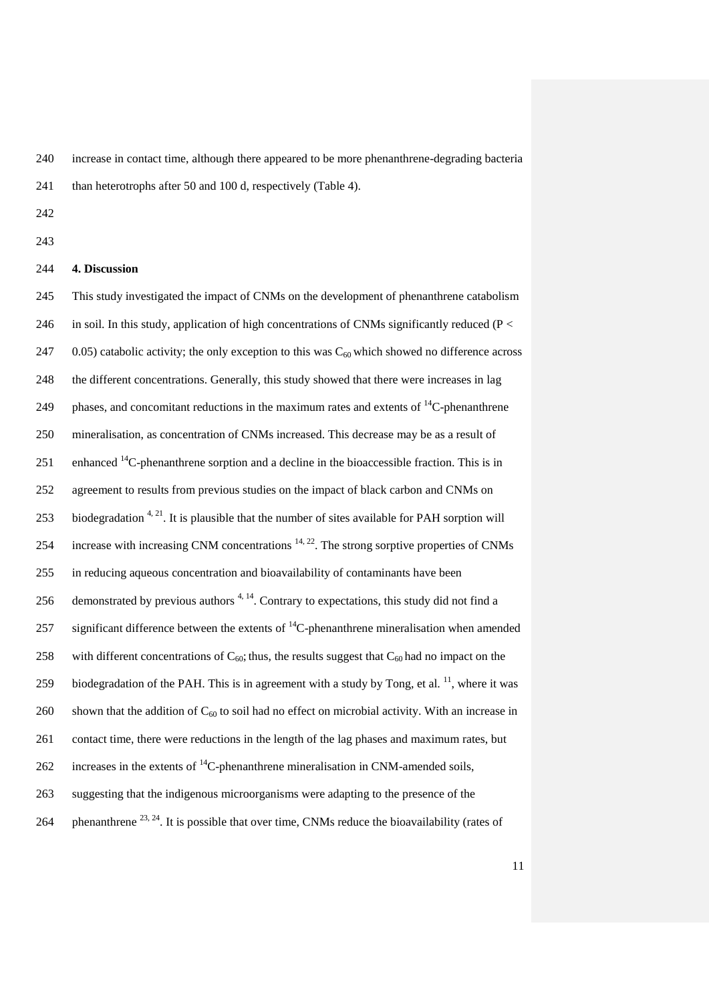240 increase in contact time, although there appeared to be more phenanthrene-degrading bacteria 241 than heterotrophs after 50 and 100 d, respectively (Table 4).

242

243

244 **4. Discussion**

245 This study investigated the impact of CNMs on the development of phenanthrene catabolism 246 in soil. In this study, application of high concentrations of CNMs significantly reduced ( $P <$ 247 0.05) catabolic activity; the only exception to this was  $C_{60}$  which showed no difference across 248 the different concentrations. Generally, this study showed that there were increases in lag 249 phases, and concomitant reductions in the maximum rates and extents of  $^{14}$ C-phenanthrene 250 mineralisation, as concentration of CNMs increased. This decrease may be as a result of 251 enhanced  $14$ C-phenanthrene sorption and a decline in the bioaccessible fraction. This is in 252 agreement to results from previous studies on the impact of black carbon and CNMs on 253 biodegradation  $4, 21$  $4, 21$ . It is plausible that the number of sites available for PAH sorption will 254 increase with increasing CNM concentrations  $14, 22$  $14, 22$ . The strong sorptive properties of CNMs 255 in reducing aqueous concentration and bioavailability of contaminants have been 256 demonstrated by previous authors  $4, 14$  $4, 14$ . Contrary to expectations, this study did not find a 257 significant difference between the extents of  ${}^{14}C$ -phenanthrene mineralisation when amended 258 with different concentrations of  $C_{60}$ ; thus, the results suggest that  $C_{60}$  had no impact on the 259 biodegradation of the PAH. This is in agreement with a study by [Tong, et al.](#page-14-5)  $^{11}$ , where it was 260 shown that the addition of  $C_{60}$  to soil had no effect on microbial activity. With an increase in 261 contact time, there were reductions in the length of the lag phases and maximum rates, but 262 increases in the extents of  ${}^{14}$ C-phenanthrene mineralisation in CNM-amended soils, 263 suggesting that the indigenous microorganisms were adapting to the presence of the 264 phenanthrene  $^{23, 24}$  $^{23, 24}$  $^{23, 24}$ . It is possible that over time, CNMs reduce the bioavailability (rates of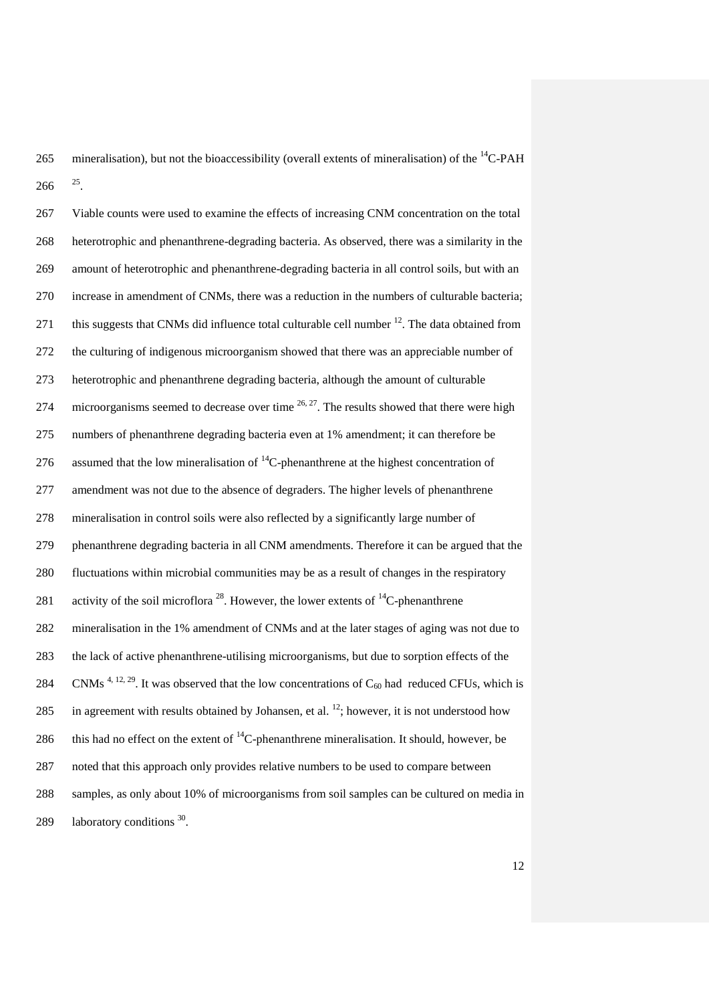265 mineralisation), but not the bioaccessibility (overall extents of mineralisation) of the  ${}^{14}$ C-PAH  $25$ .

| 267 | Viable counts were used to examine the effects of increasing CNM concentration on the total                    |
|-----|----------------------------------------------------------------------------------------------------------------|
| 268 | heterotrophic and phenanthrene-degrading bacteria. As observed, there was a similarity in the                  |
| 269 | amount of heterotrophic and phenanthrene-degrading bacteria in all control soils, but with an                  |
| 270 | increase in amendment of CNMs, there was a reduction in the numbers of culturable bacteria;                    |
| 271 | this suggests that CNMs did influence total culturable cell number <sup>12</sup> . The data obtained from      |
| 272 | the culturing of indigenous microorganism showed that there was an appreciable number of                       |
| 273 | heterotrophic and phenanthrene degrading bacteria, although the amount of culturable                           |
| 274 | microorganisms seemed to decrease over time $26, 27$ . The results showed that there were high                 |
| 275 | numbers of phenanthrene degrading bacteria even at 1% amendment; it can therefore be                           |
| 276 | assumed that the low mineralisation of ${}^{14}C$ -phenanthrene at the highest concentration of                |
| 277 | amendment was not due to the absence of degraders. The higher levels of phenanthrene                           |
| 278 | mineralisation in control soils were also reflected by a significantly large number of                         |
| 279 | phenanthrene degrading bacteria in all CNM amendments. Therefore it can be argued that the                     |
| 280 | fluctuations within microbial communities may be as a result of changes in the respiratory                     |
| 281 | activity of the soil microflora <sup>28</sup> . However, the lower extents of <sup>14</sup> C-phenanthrene     |
| 282 | mineralisation in the 1% amendment of CNMs and at the later stages of aging was not due to                     |
| 283 | the lack of active phenanthrene-utilising microorganisms, but due to sorption effects of the                   |
| 284 | CNMs <sup>4, 12, 29</sup> . It was observed that the low concentrations of $C_{60}$ had reduced CFUs, which is |
| 285 | in agreement with results obtained by Johansen, et al. $^{12}$ ; however, it is not understood how             |
| 286 | this had no effect on the extent of ${}^{14}C$ -phenanthrene mineralisation. It should, however, be            |
| 287 | noted that this approach only provides relative numbers to be used to compare between                          |
| 288 | samples, as only about 10% of microorganisms from soil samples can be cultured on media in                     |
| 289 | laboratory conditions $30$ .                                                                                   |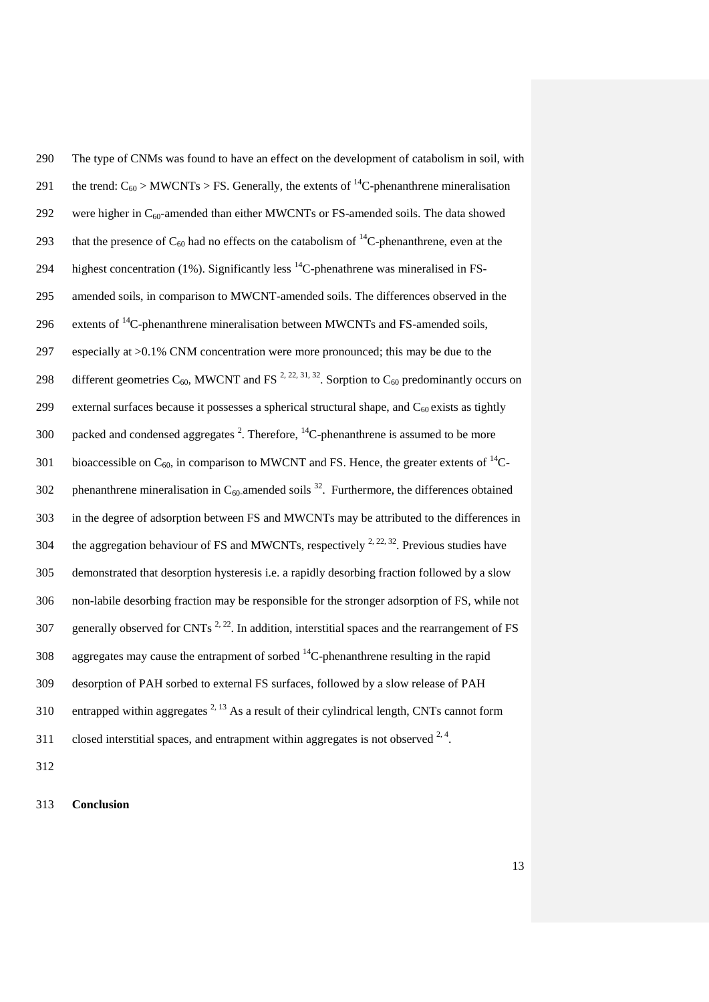| 290 | The type of CNMs was found to have an effect on the development of catabolism in soil, with                          |
|-----|----------------------------------------------------------------------------------------------------------------------|
| 291 | the trend: $C_{60}$ > MWCNTs > FS. Generally, the extents of <sup>14</sup> C-phenanthrene mineralisation             |
| 292 | were higher in $C_{60}$ -amended than either MWCNTs or FS-amended soils. The data showed                             |
| 293 | that the presence of $C_{60}$ had no effects on the catabolism of <sup>14</sup> C-phenanthrene, even at the          |
| 294 | highest concentration (1%). Significantly less ${}^{14}C$ -phenathrene was mineralised in FS-                        |
| 295 | amended soils, in comparison to MWCNT-amended soils. The differences observed in the                                 |
| 296 | extents of <sup>14</sup> C-phenanthrene mineralisation between MWCNTs and FS-amended soils,                          |
| 297 | especially at >0.1% CNM concentration were more pronounced; this may be due to the                                   |
| 298 | different geometries $C_{60}$ , MWCNT and FS <sup>2, 22, 31, 32</sup> . Sorption to $C_{60}$ predominantly occurs on |
| 299 | external surfaces because it possesses a spherical structural shape, and C <sub>60</sub> exists as tightly           |
| 300 | packed and condensed aggregates <sup>2</sup> . Therefore, <sup>14</sup> C-phenanthrene is assumed to be more         |
| 301 | bioaccessible on $C_{60}$ , in comparison to MWCNT and FS. Hence, the greater extents of <sup>14</sup> C-            |
| 302 | phenanthrene mineralisation in $C_{60}$ amended soils <sup>32</sup> . Furthermore, the differences obtained          |
| 303 | in the degree of adsorption between FS and MWCNTs may be attributed to the differences in                            |
| 304 | the aggregation behaviour of FS and MWCNTs, respectively $^{2, 22, 32}$ . Previous studies have                      |
| 305 | demonstrated that desorption hysteresis i.e. a rapidly desorbing fraction followed by a slow                         |
| 306 | non-labile desorbing fraction may be responsible for the stronger adsorption of FS, while not                        |
| 307 | generally observed for CNTs <sup>2, 22</sup> . In addition, interstitial spaces and the rearrangement of FS          |
| 308 | aggregates may cause the entrapment of sorbed ${}^{14}C$ -phenanthrene resulting in the rapid                        |
| 309 | desorption of PAH sorbed to external FS surfaces, followed by a slow release of PAH                                  |
| 310 | entrapped within aggregates <sup>2, 13</sup> As a result of their cylindrical length, CNTs cannot form               |
| 311 | closed interstitial spaces, and entrapment within aggregates is not observed $2.4$ .                                 |
| 312 |                                                                                                                      |

**Conclusion**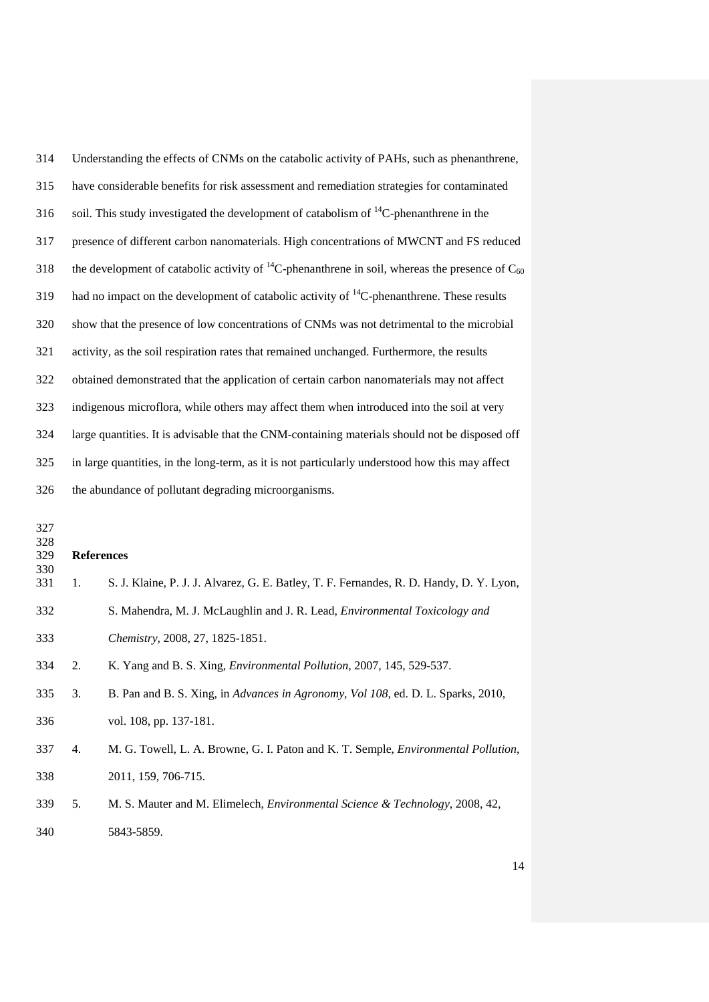| 314 | Understanding the effects of CNMs on the catabolic activity of PAHs, such as phenanthrene,                             |
|-----|------------------------------------------------------------------------------------------------------------------------|
| 315 | have considerable benefits for risk assessment and remediation strategies for contaminated                             |
| 316 | soil. This study investigated the development of catabolism of <sup>14</sup> C-phenanthrene in the                     |
| 317 | presence of different carbon nanomaterials. High concentrations of MWCNT and FS reduced                                |
| 318 | the development of catabolic activity of <sup>14</sup> C-phenanthrene in soil, whereas the presence of C <sub>60</sub> |
| 319 | had no impact on the development of catabolic activity of $^{14}$ C-phenanthrene. These results                        |
| 320 | show that the presence of low concentrations of CNMs was not detrimental to the microbial                              |
| 321 | activity, as the soil respiration rates that remained unchanged. Furthermore, the results                              |
| 322 | obtained demonstrated that the application of certain carbon nanomaterials may not affect                              |
| 323 | indigenous microflora, while others may affect them when introduced into the soil at very                              |
| 324 | large quantities. It is advisable that the CNM-containing materials should not be disposed off                         |
| 325 | in large quantities, in the long-term, as it is not particularly understood how this may affect                        |
| 326 | the abundance of pollutant degrading microorganisms.                                                                   |
|     |                                                                                                                        |

### 328<br>329 **References**

<span id="page-13-0"></span>

| 330<br>331 | 1. | S. J. Klaine, P. J. J. Alvarez, G. E. Batley, T. F. Fernandes, R. D. Handy, D. Y. Lyon, |
|------------|----|-----------------------------------------------------------------------------------------|
| 332        |    | S. Mahendra, M. J. McLaughlin and J. R. Lead, <i>Environmental Toxicology and</i>       |
| 333        |    | <i>Chemistry</i> , 2008, 27, 1825-1851.                                                 |
| 334        | 2. | K. Yang and B. S. Xing, <i>Environmental Pollution</i> , 2007, 145, 529-537.            |
| 335        | 3. | B. Pan and B. S. Xing, in Advances in Agronomy, Vol 108, ed. D. L. Sparks, 2010,        |
| 336        |    | vol. 108, pp. 137-181.                                                                  |

- <span id="page-13-3"></span><span id="page-13-2"></span><span id="page-13-1"></span> 4. M. G. Towell, L. A. Browne, G. I. Paton and K. T. Semple, *Environmental Pollution*, 2011, 159, 706-715.
- <span id="page-13-4"></span> 5. M. S. Mauter and M. Elimelech, *Environmental Science & Technology*, 2008, 42, 5843-5859.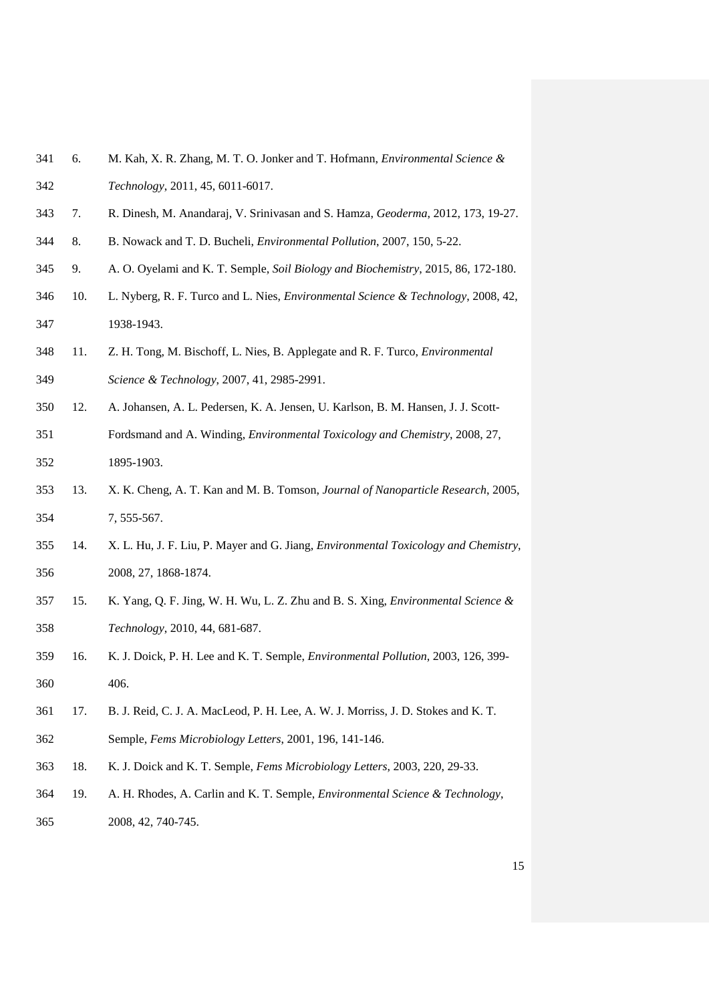<span id="page-14-0"></span>

| 341 | M. Kah, X. R. Zhang, M. T. O. Jonker and T. Hofmann, <i>Environmental Science &amp;</i> |
|-----|-----------------------------------------------------------------------------------------|
| 342 | Technology, 2011, 45, 6011-6017.                                                        |

- <span id="page-14-1"></span>7. R. Dinesh, M. Anandaraj, V. Srinivasan and S. Hamza, *Geoderma*, 2012, 173, 19-27.
- <span id="page-14-2"></span>8. B. Nowack and T. D. Bucheli, *Environmental Pollution*, 2007, 150, 5-22.
- <span id="page-14-3"></span>9. A. O. Oyelami and K. T. Semple, *Soil Biology and Biochemistry*, 2015, 86, 172-180.
- <span id="page-14-4"></span> 10. L. Nyberg, R. F. Turco and L. Nies, *Environmental Science & Technology*, 2008, 42, 1938-1943.
- <span id="page-14-5"></span> 11. Z. H. Tong, M. Bischoff, L. Nies, B. Applegate and R. F. Turco, *Environmental Science & Technology*, 2007, 41, 2985-2991.
- <span id="page-14-6"></span> 12. A. Johansen, A. L. Pedersen, K. A. Jensen, U. Karlson, B. M. Hansen, J. J. Scott-Fordsmand and A. Winding, *Environmental Toxicology and Chemistry*, 2008, 27,
- 1895-1903.
- <span id="page-14-7"></span> 13. X. K. Cheng, A. T. Kan and M. B. Tomson, *Journal of Nanoparticle Research*, 2005, 7, 555-567.
- <span id="page-14-12"></span> 14. X. L. Hu, J. F. Liu, P. Mayer and G. Jiang, *Environmental Toxicology and Chemistry*, 2008, 27, 1868-1874.
- 15. K. Yang, Q. F. Jing, W. H. Wu, L. Z. Zhu and B. S. Xing, *Environmental Science & Technology*, 2010, 44, 681-687.
- <span id="page-14-8"></span> 16. K. J. Doick, P. H. Lee and K. T. Semple, *Environmental Pollution*, 2003, 126, 399- 406.
- <span id="page-14-9"></span> 17. B. J. Reid, C. J. A. MacLeod, P. H. Lee, A. W. J. Morriss, J. D. Stokes and K. T. Semple, *Fems Microbiology Letters*, 2001, 196, 141-146.
- <span id="page-14-10"></span>18. K. J. Doick and K. T. Semple, *Fems Microbiology Letters*, 2003, 220, 29-33.
- <span id="page-14-11"></span> 19. A. H. Rhodes, A. Carlin and K. T. Semple, *Environmental Science & Technology*, 2008, 42, 740-745.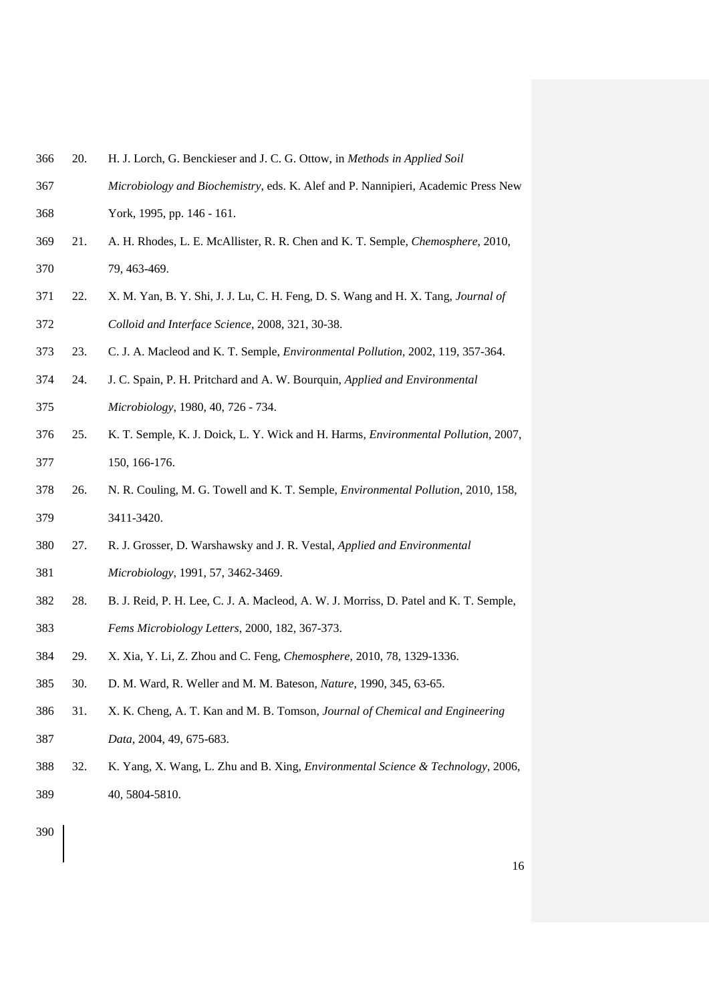- <span id="page-15-0"></span>20. H. J. Lorch, G. Benckieser and J. C. G. Ottow, in *Methods in Applied Soil*
- *Microbiology and Biochemistry*, eds. K. Alef and P. Nannipieri, Academic Press New York, 1995, pp. 146 - 161.
- <span id="page-15-1"></span> 21. A. H. Rhodes, L. E. McAllister, R. R. Chen and K. T. Semple, *Chemosphere*, 2010, 79, 463-469.
- <span id="page-15-2"></span> 22. X. M. Yan, B. Y. Shi, J. J. Lu, C. H. Feng, D. S. Wang and H. X. Tang, *Journal of Colloid and Interface Science*, 2008, 321, 30-38.
- <span id="page-15-3"></span>23. C. J. A. Macleod and K. T. Semple, *Environmental Pollution*, 2002, 119, 357-364.
- <span id="page-15-4"></span> 24. J. C. Spain, P. H. Pritchard and A. W. Bourquin, *Applied and Environmental Microbiology*, 1980, 40, 726 - 734.
- <span id="page-15-5"></span> 25. K. T. Semple, K. J. Doick, L. Y. Wick and H. Harms, *Environmental Pollution*, 2007, 150, 166-176.
- <span id="page-15-6"></span> 26. N. R. Couling, M. G. Towell and K. T. Semple, *Environmental Pollution*, 2010, 158, 3411-3420.
- <span id="page-15-7"></span> 27. R. J. Grosser, D. Warshawsky and J. R. Vestal, *Applied and Environmental Microbiology*, 1991, 57, 3462-3469.
- <span id="page-15-8"></span>28. B. J. Reid, P. H. Lee, C. J. A. Macleod, A. W. J. Morriss, D. Patel and K. T. Semple,
- *Fems Microbiology Letters*, 2000, 182, 367-373.
- <span id="page-15-9"></span>29. X. Xia, Y. Li, Z. Zhou and C. Feng, *Chemosphere*, 2010, 78, 1329-1336.
- <span id="page-15-10"></span>30. D. M. Ward, R. Weller and M. M. Bateson, *Nature*, 1990, 345, 63-65.
- <span id="page-15-11"></span> 31. X. K. Cheng, A. T. Kan and M. B. Tomson, *Journal of Chemical and Engineering Data*, 2004, 49, 675-683.
- <span id="page-15-12"></span> 32. K. Yang, X. Wang, L. Zhu and B. Xing, *Environmental Science & Technology*, 2006, 40, 5804-5810.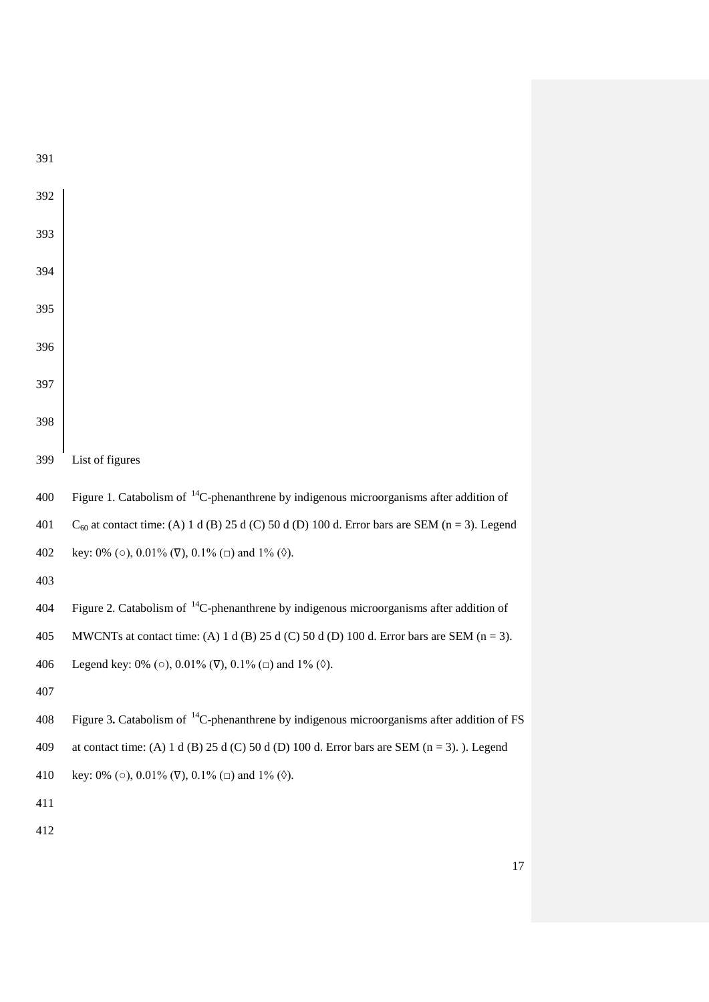| 391 |                                                                                                   |
|-----|---------------------------------------------------------------------------------------------------|
| 392 |                                                                                                   |
| 393 |                                                                                                   |
| 394 |                                                                                                   |
| 395 |                                                                                                   |
| 396 |                                                                                                   |
| 397 |                                                                                                   |
| 398 |                                                                                                   |
| 399 | List of figures                                                                                   |
| 400 | Figure 1. Catabolism of ${}^{14}C$ -phenanthrene by indigenous microorganisms after addition of   |
| 401 | $C_{60}$ at contact time: (A) 1 d (B) 25 d (C) 50 d (D) 100 d. Error bars are SEM (n = 3). Legend |
| 402 | key: 0% ( $\circ$ ), 0.01% ( $\nabla$ ), 0.1% ( $\square$ ) and 1% ( $\lozenge$ ).                |
| 403 |                                                                                                   |
| 404 | Figure 2. Catabolism of ${}^{14}C$ -phenanthrene by indigenous microorganisms after addition of   |
| 405 | MWCNTs at contact time: (A) 1 d (B) 25 d (C) 50 d (D) 100 d. Error bars are SEM ( $n = 3$ ).      |
| 406 | Legend key: 0% ( $\circ$ ), 0.01% ( $\nabla$ ), 0.1% ( $\Box$ ) and 1% ( $\Diamond$ ).            |
| 407 |                                                                                                   |
| 408 | Figure 3. Catabolism of $^{14}$ C-phenanthrene by indigenous microorganisms after addition of FS  |
| 409 | at contact time: (A) 1 d (B) 25 d (C) 50 d (D) 100 d. Error bars are SEM ( $n = 3$ ). Legend      |
| 410 | key: 0% ( $\circ$ ), 0.01% ( $\nabla$ ), 0.1% ( $\Box$ ) and 1% ( $\Diamond$ ).                   |
| 411 |                                                                                                   |
| 412 |                                                                                                   |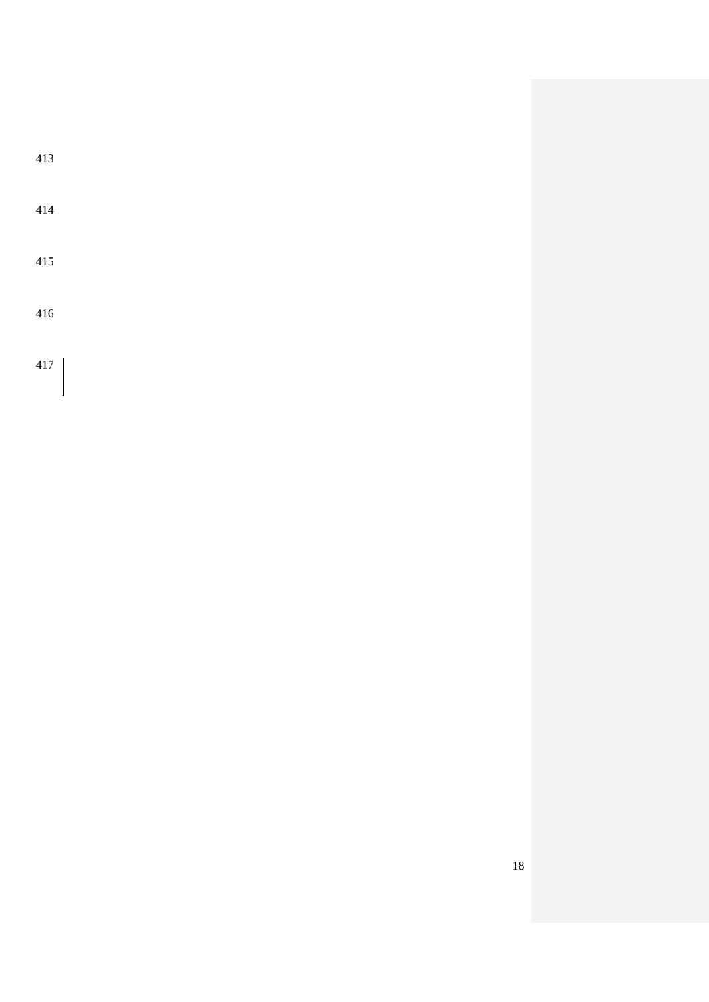| 413 |  |  |
|-----|--|--|
| 414 |  |  |
| 415 |  |  |
| 416 |  |  |
|     |  |  |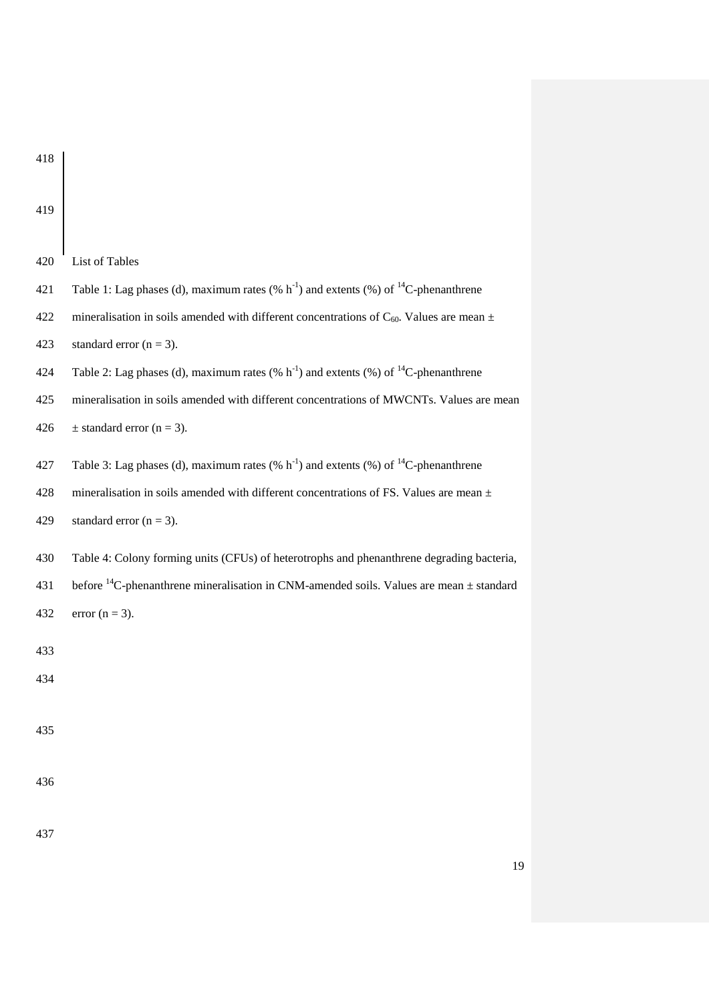|  | ۰. |
|--|----|
|  |    |

| 420 List of Tables |  |
|--------------------|--|
|                    |  |

- 421 Table 1: Lag phases (d), maximum rates (%  $h^{-1}$ ) and extents (%) of  ${}^{14}C$ -phenanthrene
- 422 mineralisation in soils amended with different concentrations of  $C_{60}$ . Values are mean  $\pm$
- 423 standard error  $(n = 3)$ .
- 424 Table 2: Lag phases (d), maximum rates (%  $h^{-1}$ ) and extents (%) of  ${}^{14}C$ -phenanthrene
- 425 mineralisation in soils amended with different concentrations of MWCNTs. Values are mean
- 426  $\pm$  standard error (n = 3).
- 427 Table 3: Lag phases (d), maximum rates (%  $h^{-1}$ ) and extents (%) of  ${}^{14}C$ -phenanthrene
- 428 mineralisation in soils amended with different concentrations of FS. Values are mean  $\pm$
- 429 standard error  $(n = 3)$ .
- 430 Table 4: Colony forming units (CFUs) of heterotrophs and phenanthrene degrading bacteria,
- 431 before  ${}^{14}C$ -phenanthrene mineralisation in CNM-amended soils. Values are mean  $\pm$  standard 432 error ( $n = 3$ ).
- 433
- 434
- 435
- 436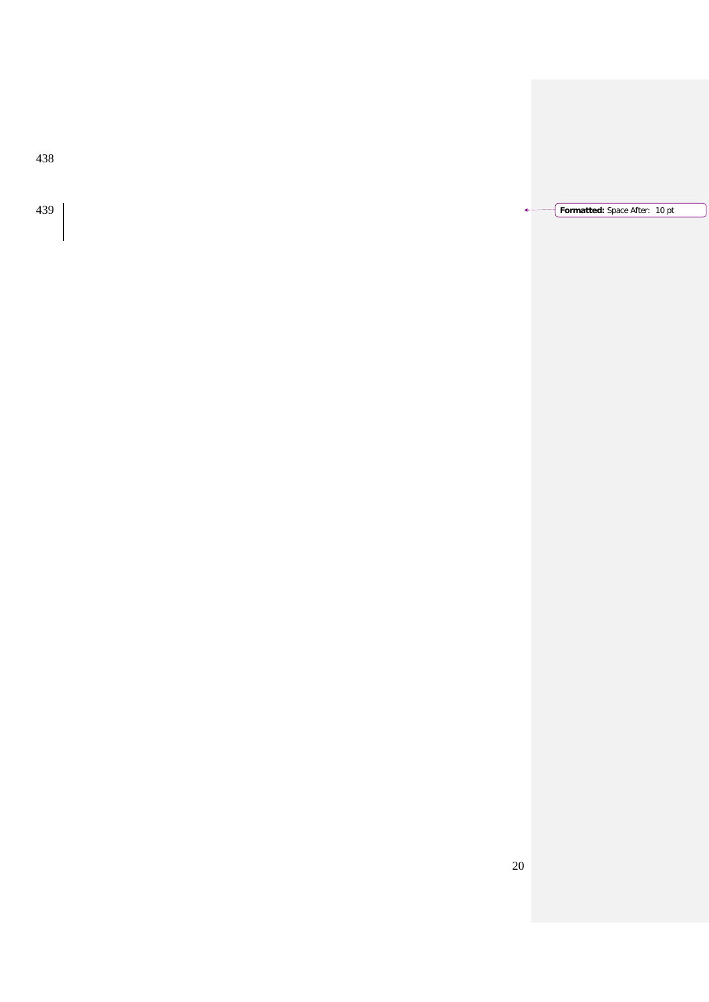**Formatted:** Space After: <sup>10</sup> pt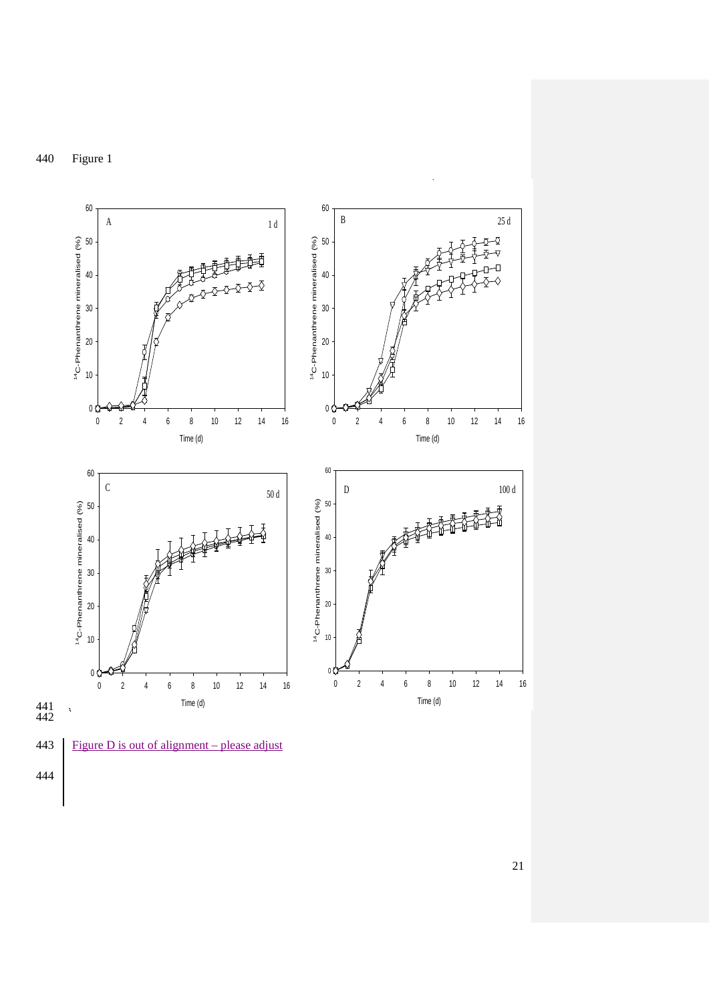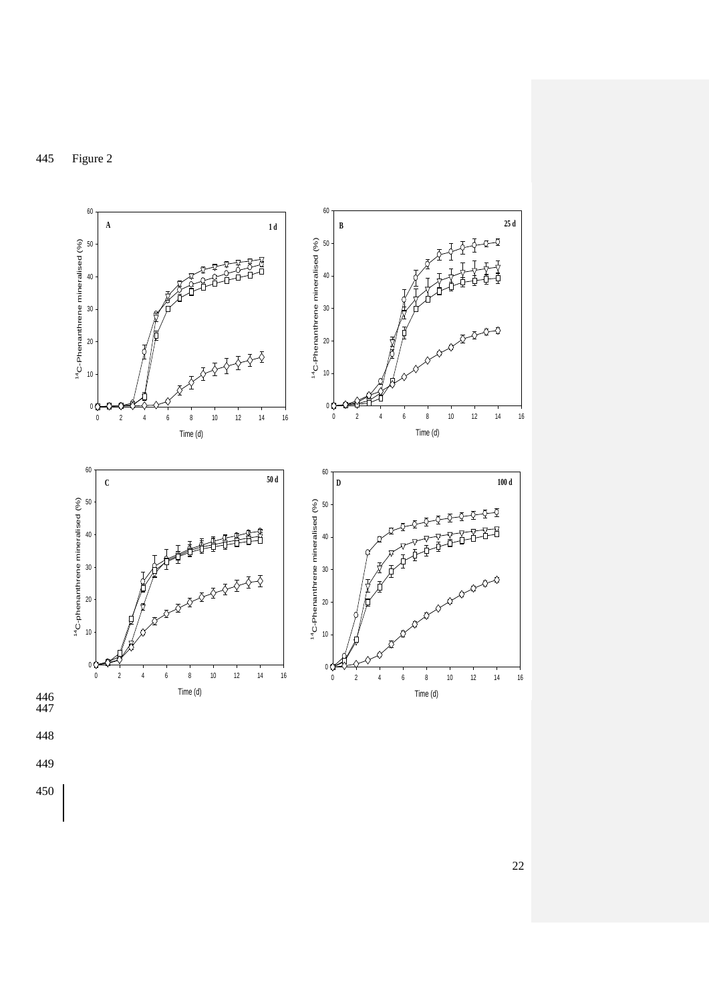

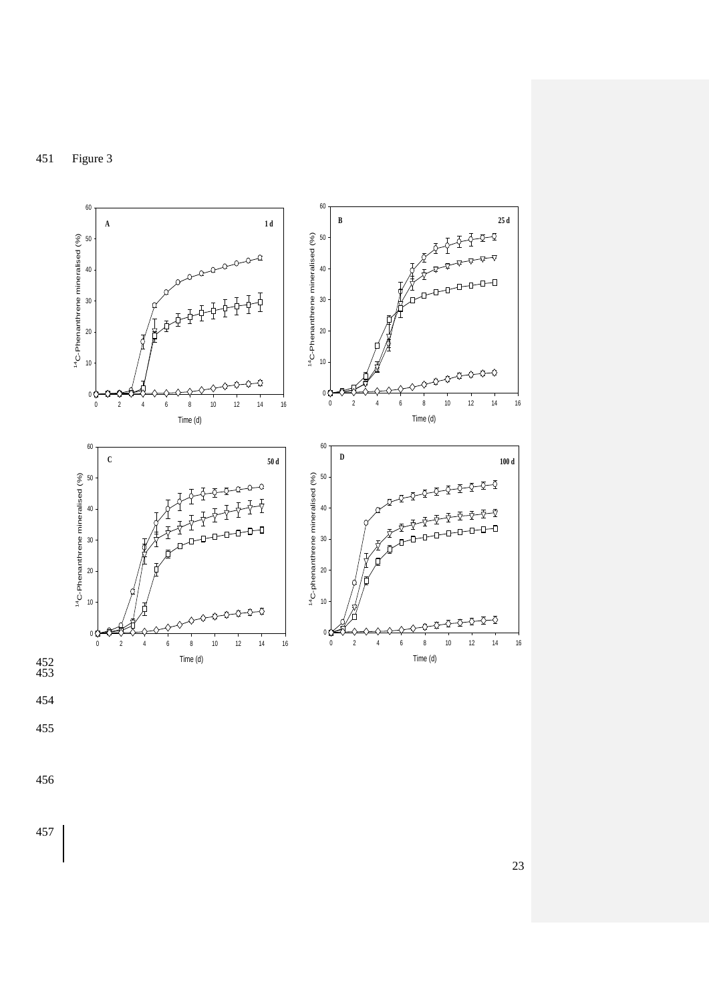

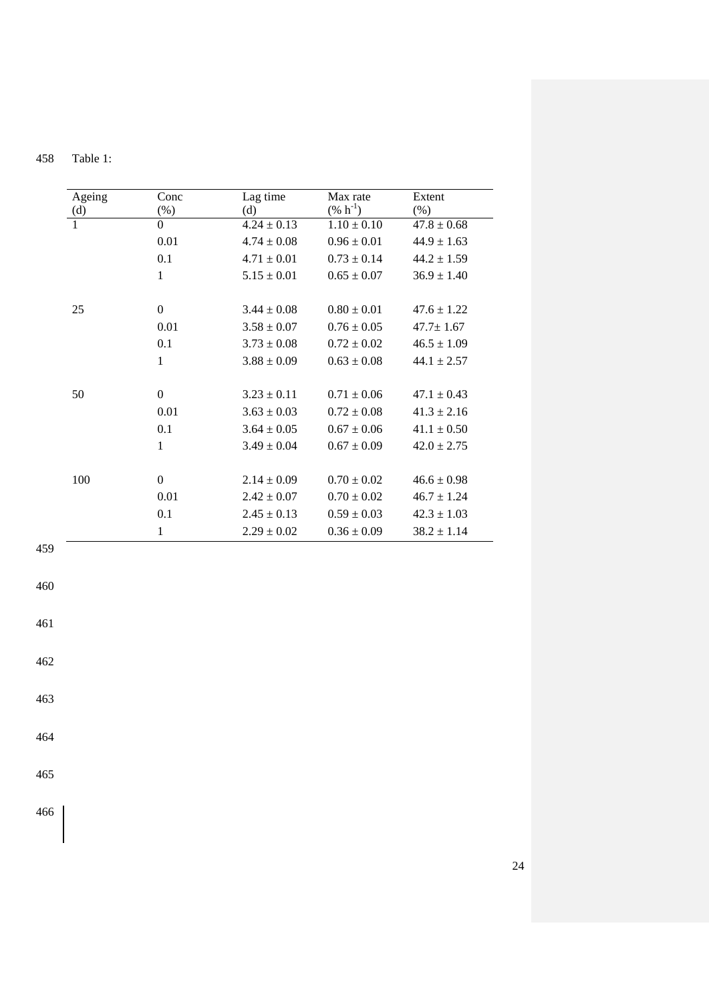| 458 | Table 1: |
|-----|----------|
|     |          |

| Ageing | Conc         | Lag time        | Max rate        | Extent          |
|--------|--------------|-----------------|-----------------|-----------------|
| (d)    | $(\%)$       | (d)             | $(\% h^{-1})$   | (% )            |
| 1      | $\theta$     | $4.24 \pm 0.13$ | $1.10 \pm 0.10$ | $47.8 \pm 0.68$ |
|        | 0.01         | $4.74 \pm 0.08$ | $0.96 \pm 0.01$ | $44.9 \pm 1.63$ |
|        | 0.1          | $4.71 \pm 0.01$ | $0.73 \pm 0.14$ | $44.2 \pm 1.59$ |
|        | 1            | $5.15 \pm 0.01$ | $0.65 \pm 0.07$ | $36.9 \pm 1.40$ |
| 25     | $\mathbf{0}$ | $3.44 \pm 0.08$ | $0.80 \pm 0.01$ | $47.6 \pm 1.22$ |
|        | 0.01         | $3.58 \pm 0.07$ | $0.76 \pm 0.05$ | $47.7 \pm 1.67$ |
|        | 0.1          | $3.73 \pm 0.08$ | $0.72 \pm 0.02$ | $46.5 \pm 1.09$ |
|        | 1            | $3.88 \pm 0.09$ | $0.63 \pm 0.08$ | $44.1 \pm 2.57$ |
| 50     | $\Omega$     | $3.23 \pm 0.11$ | $0.71 \pm 0.06$ | $47.1 \pm 0.43$ |
|        | 0.01         | $3.63 \pm 0.03$ | $0.72 \pm 0.08$ | $41.3 \pm 2.16$ |
|        | 0.1          | $3.64 \pm 0.05$ | $0.67 \pm 0.06$ | $41.1 \pm 0.50$ |
|        | 1            | $3.49 \pm 0.04$ | $0.67 \pm 0.09$ | $42.0 \pm 2.75$ |
| 100    | $\mathbf{0}$ | $2.14 \pm 0.09$ | $0.70 \pm 0.02$ | $46.6 \pm 0.98$ |
|        | 0.01         | $2.42 \pm 0.07$ | $0.70 \pm 0.02$ | $46.7 \pm 1.24$ |
|        | 0.1          | $2.45 \pm 0.13$ | $0.59 \pm 0.03$ | $42.3 \pm 1.03$ |
|        | 1            | $2.29 \pm 0.02$ | $0.36 \pm 0.09$ | $38.2 \pm 1.14$ |

460

461

462

463

464

465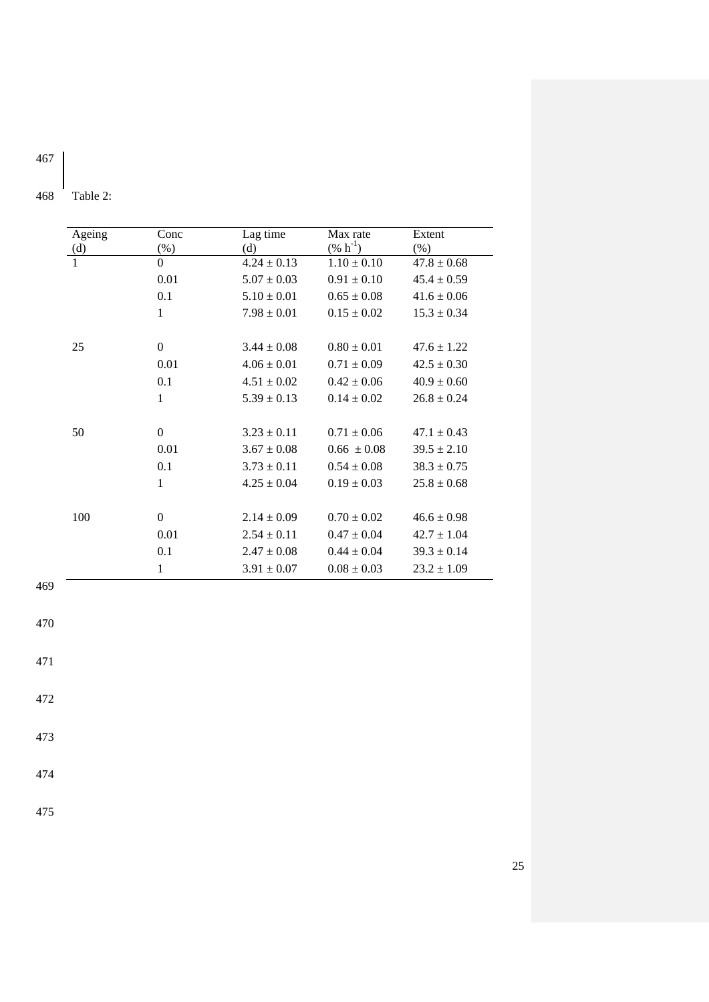| ×<br>۰. |
|---------|
|---------|

468 Table 2:

| Ageing<br>(d) | Conc<br>$(\%)$ | Lag time<br>(d) | Max rate<br>$(\% h^{-1})$ | Extent<br>(% )  |
|---------------|----------------|-----------------|---------------------------|-----------------|
| 1             | $\Omega$       | $4.24 \pm 0.13$ | $1.10 \pm 0.10$           | $47.8 \pm 0.68$ |
|               | 0.01           | $5.07 \pm 0.03$ | $0.91 \pm 0.10$           | $45.4 \pm 0.59$ |
|               | 0.1            | $5.10 \pm 0.01$ | $0.65 \pm 0.08$           | $41.6 \pm 0.06$ |
|               | 1              | $7.98 \pm 0.01$ | $0.15 \pm 0.02$           | $15.3 \pm 0.34$ |
|               |                |                 |                           |                 |
| 25            | $\Omega$       | $3.44 \pm 0.08$ | $0.80 \pm 0.01$           | $47.6 \pm 1.22$ |
|               | 0.01           | $4.06 \pm 0.01$ | $0.71 \pm 0.09$           | $42.5 \pm 0.30$ |
|               | 0.1            | $4.51 \pm 0.02$ | $0.42 \pm 0.06$           | $40.9 \pm 0.60$ |
|               | 1              | $5.39 \pm 0.13$ | $0.14 \pm 0.02$           | $26.8 \pm 0.24$ |
| 50            | $\mathbf{0}$   | $3.23 \pm 0.11$ | $0.71 \pm 0.06$           | $47.1 \pm 0.43$ |
|               | 0.01           | $3.67 \pm 0.08$ | $0.66 \pm 0.08$           | $39.5 \pm 2.10$ |
|               | 0.1            | $3.73 \pm 0.11$ | $0.54 \pm 0.08$           | $38.3 \pm 0.75$ |
|               | 1              | $4.25 \pm 0.04$ | $0.19 \pm 0.03$           | $25.8 \pm 0.68$ |
| 100           | $\theta$       | $2.14 \pm 0.09$ | $0.70 \pm 0.02$           | $46.6 \pm 0.98$ |
|               | 0.01           | $2.54 \pm 0.11$ | $0.47 \pm 0.04$           | $42.7 \pm 1.04$ |
|               | 0.1            | $2.47 \pm 0.08$ | $0.44 \pm 0.04$           | $39.3 \pm 0.14$ |
|               | 1              | $3.91 \pm 0.07$ | $0.08 \pm 0.03$           | $23.2 \pm 1.09$ |

469

470

471

472

473

474

475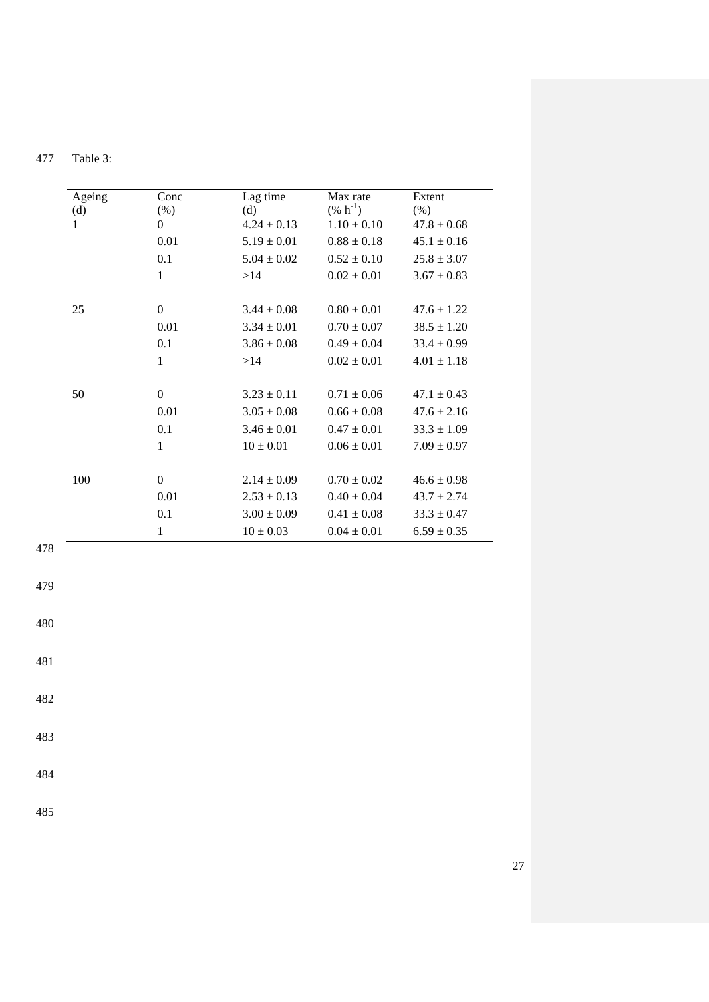| Ageing | Conc         | Lag time        | Max rate        | Extent          |
|--------|--------------|-----------------|-----------------|-----------------|
| (d)    | $(\%)$       | (d)             | $(\% h^{-1})$   | $(\%)$          |
|        | $\theta$     | $4.24 \pm 0.13$ | $1.10 \pm 0.10$ | $47.8 \pm 0.68$ |
|        | 0.01         | $5.19 \pm 0.01$ | $0.88 \pm 0.18$ | $45.1 \pm 0.16$ |
|        | 0.1          | $5.04 \pm 0.02$ | $0.52 \pm 0.10$ | $25.8 \pm 3.07$ |
|        | 1            | >14             | $0.02 \pm 0.01$ | $3.67 \pm 0.83$ |
| 25     | $\mathbf{0}$ | $3.44 \pm 0.08$ | $0.80 \pm 0.01$ | $47.6 \pm 1.22$ |
|        | 0.01         | $3.34 \pm 0.01$ | $0.70 \pm 0.07$ | $38.5 \pm 1.20$ |
|        | 0.1          | $3.86 \pm 0.08$ | $0.49 \pm 0.04$ | $33.4 \pm 0.99$ |
|        | $\mathbf{1}$ | >14             | $0.02 \pm 0.01$ | $4.01 \pm 1.18$ |
| 50     | $\mathbf{0}$ | $3.23 \pm 0.11$ | $0.71 \pm 0.06$ | $47.1 \pm 0.43$ |
|        | 0.01         | $3.05 \pm 0.08$ | $0.66 \pm 0.08$ | $47.6 \pm 2.16$ |
|        | 0.1          | $3.46 \pm 0.01$ | $0.47 \pm 0.01$ | $33.3 \pm 1.09$ |
|        | 1            | $10 \pm 0.01$   | $0.06 \pm 0.01$ | $7.09 \pm 0.97$ |
| 100    | $\theta$     | $2.14 \pm 0.09$ | $0.70 \pm 0.02$ | $46.6 \pm 0.98$ |
|        | 0.01         | $2.53 \pm 0.13$ | $0.40 \pm 0.04$ | $43.7 \pm 2.74$ |
|        | 0.1          | $3.00 \pm 0.09$ | $0.41 \pm 0.08$ | $33.3 \pm 0.47$ |
|        | 1            | $10 \pm 0.03$   | $0.04 \pm 0.01$ | $6.59 \pm 0.35$ |

479

480

481

482

483

484